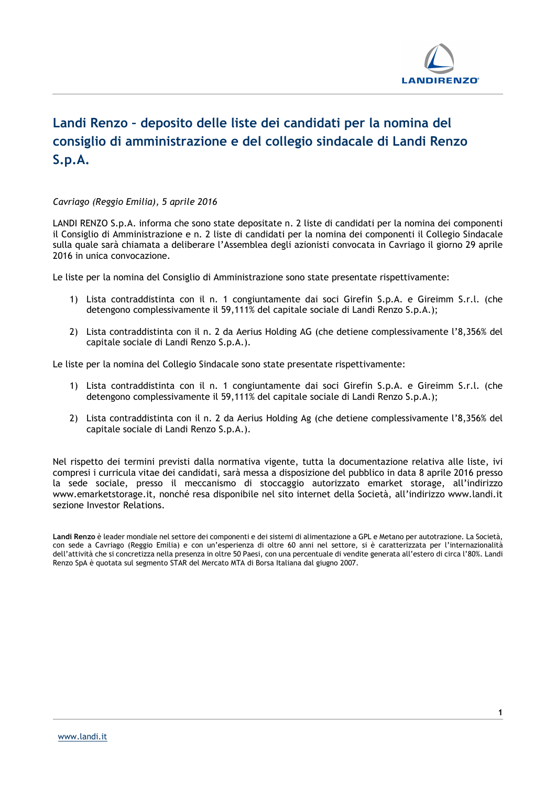

## Landi Renzo – deposito delle liste dei candidati per la nomina del consiglio di amministrazione e del collegio sindacale di Landi Renzo S.p.A.

## Cavriago (Reggio Emilia), 5 aprile 2016

LANDI RENZO S.p.A. informa che sono state depositate n. 2 liste di candidati per la nomina dei componenti il Consiglio di Amministrazione e n. 2 liste di candidati per la nomina dei componenti il Collegio Sindacale sulla quale sarà chiamata a deliberare l'Assemblea degli azionisti convocata in Cavriago il giorno 29 aprile 2016 in unica convocazione.

Le liste per la nomina del Consiglio di Amministrazione sono state presentate rispettivamente:

- 1) Lista contraddistinta con il n. 1 congiuntamente dai soci Girefin S.p.A. e Gireimm S.r.l. (che detengono complessivamente il 59,111% del capitale sociale di Landi Renzo S.p.A.);
- 2) Lista contraddistinta con il n. 2 da Aerius Holding AG (che detiene complessivamente l'8,356% del capitale sociale di Landi Renzo S.p.A.).

Le liste per la nomina del Collegio Sindacale sono state presentate rispettivamente:

- 1) Lista contraddistinta con il n. 1 congiuntamente dai soci Girefin S.p.A. e Gireimm S.r.l. (che detengono complessivamente il 59,111% del capitale sociale di Landi Renzo S.p.A.);
- 2) Lista contraddistinta con il n. 2 da Aerius Holding Ag (che detiene complessivamente l'8,356% del capitale sociale di Landi Renzo S.p.A.).

Nel rispetto dei termini previsti dalla normativa vigente, tutta la documentazione relativa alle liste, ivi compresi i curricula vitae dei candidati, sarà messa a disposizione del pubblico in data 8 aprile 2016 presso la sede sociale, presso il meccanismo di stoccaggio autorizzato emarket storage, all'indirizzo www.emarketstorage.it, nonché resa disponibile nel sito internet della Società, all'indirizzo www.landi.it sezione Investor Relations.

Landi Renzo è leader mondiale nel settore dei componenti e dei sistemi di alimentazione a GPL e Metano per autotrazione. La Società, con sede a Cavriago (Reggio Emilia) e con un'esperienza di oltre 60 anni nel settore, si è caratterizzata per l'internazionalità dell'attività che si concretizza nella presenza in oltre 50 Paesi, con una percentuale di vendite generata all'estero di circa l'80%. Landi Renzo SpA è quotata sul segmento STAR del Mercato MTA di Borsa Italiana dal giugno 2007.